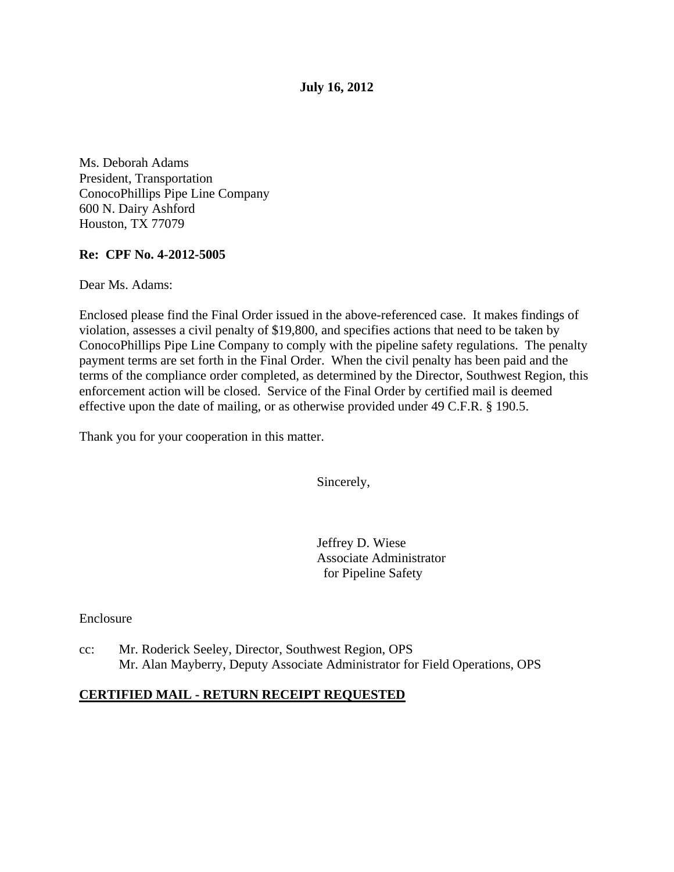**July 16, 2012**

Ms. Deborah Adams President, Transportation ConocoPhillips Pipe Line Company 600 N. Dairy Ashford Houston, TX 77079

#### **Re: CPF No. 4-2012-5005**

Dear Ms. Adams:

Enclosed please find the Final Order issued in the above-referenced case. It makes findings of violation, assesses a civil penalty of \$19,800, and specifies actions that need to be taken by ConocoPhillips Pipe Line Company to comply with the pipeline safety regulations. The penalty payment terms are set forth in the Final Order. When the civil penalty has been paid and the terms of the compliance order completed, as determined by the Director, Southwest Region, this enforcement action will be closed. Service of the Final Order by certified mail is deemed effective upon the date of mailing, or as otherwise provided under 49 C.F.R. § 190.5.

Thank you for your cooperation in this matter.

Sincerely,

Jeffrey D. Wiese Associate Administrator for Pipeline Safety

Enclosure

cc: Mr. Roderick Seeley, Director, Southwest Region, OPS Mr. Alan Mayberry, Deputy Associate Administrator for Field Operations, OPS

## **CERTIFIED MAIL - RETURN RECEIPT REQUESTED**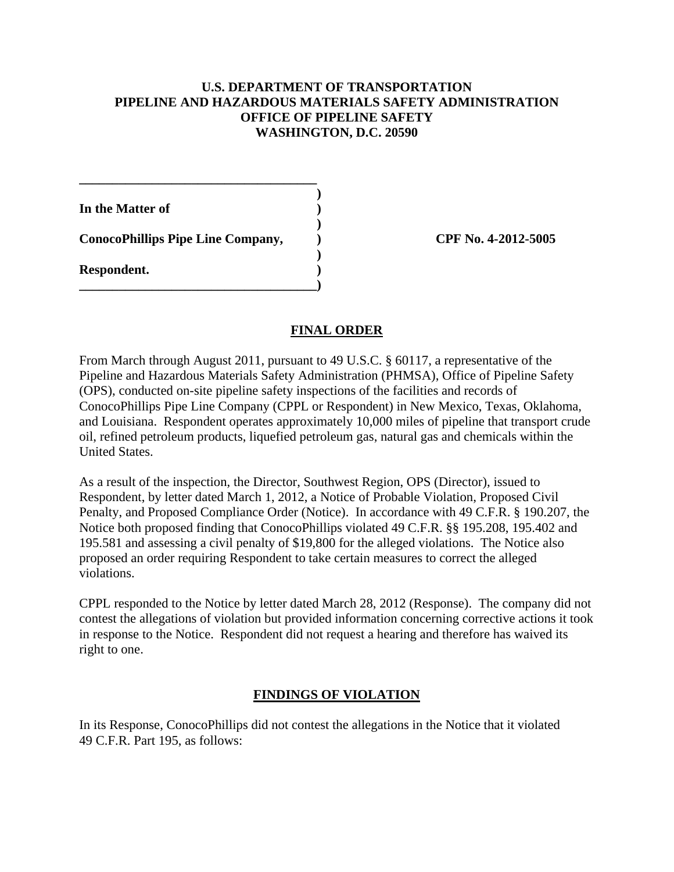#### **U.S. DEPARTMENT OF TRANSPORTATION PIPELINE AND HAZARDOUS MATERIALS SAFETY ADMINISTRATION OFFICE OF PIPELINE SAFETY WASHINGTON, D.C. 20590**

**)**

**)**

**)**

**In the Matter of )**

**ConocoPhillips Pipe Line Company, ) CPF No. 4-2012-5005**

**\_\_\_\_\_\_\_\_\_\_\_\_\_\_\_\_\_\_\_\_\_\_\_\_\_\_\_\_\_\_\_\_\_\_\_\_)**

**\_\_\_\_\_\_\_\_\_\_\_\_\_\_\_\_\_\_\_\_\_\_\_\_\_\_\_\_\_\_\_\_\_\_\_\_**

**Respondent. )**

# **FINAL ORDER**

From March through August 2011, pursuant to 49 U.S.C. § 60117, a representative of the Pipeline and Hazardous Materials Safety Administration (PHMSA), Office of Pipeline Safety (OPS), conducted on-site pipeline safety inspections of the facilities and records of ConocoPhillips Pipe Line Company (CPPL or Respondent) in New Mexico, Texas, Oklahoma, and Louisiana. Respondent operates approximately 10,000 miles of pipeline that transport crude oil, refined petroleum products, liquefied petroleum gas, natural gas and chemicals within the United States.

As a result of the inspection, the Director, Southwest Region, OPS (Director), issued to Respondent, by letter dated March 1, 2012, a Notice of Probable Violation, Proposed Civil Penalty, and Proposed Compliance Order (Notice). In accordance with 49 C.F.R. § 190.207, the Notice both proposed finding that ConocoPhillips violated 49 C.F.R. §§ 195.208, 195.402 and 195.581 and assessing a civil penalty of \$19,800 for the alleged violations. The Notice also proposed an order requiring Respondent to take certain measures to correct the alleged violations.

CPPL responded to the Notice by letter dated March 28, 2012 (Response). The company did not contest the allegations of violation but provided information concerning corrective actions it took in response to the Notice. Respondent did not request a hearing and therefore has waived its right to one.

# **FINDINGS OF VIOLATION**

In its Response, ConocoPhillips did not contest the allegations in the Notice that it violated 49 C.F.R. Part 195, as follows: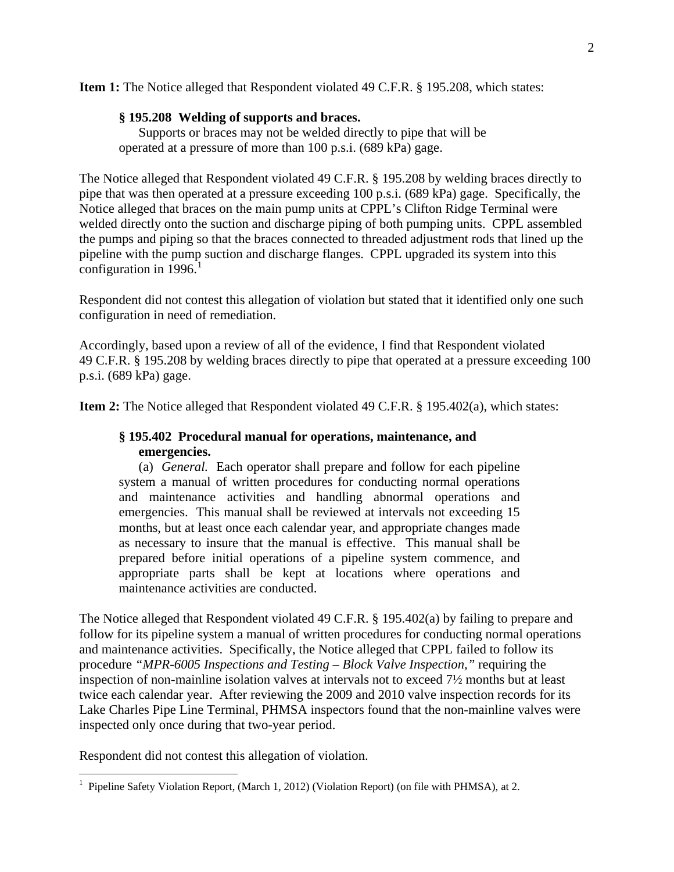**Item 1:** The Notice alleged that Respondent violated 49 C.F.R. § 195.208, which states:

### **§ 195.208 Welding of supports and braces.**

Supports or braces may not be welded directly to pipe that will be operated at a pressure of more than 100 p.s.i. (689 kPa) gage.

The Notice alleged that Respondent violated 49 C.F.R. § 195.208 by welding braces directly to pipe that was then operated at a pressure exceeding 100 p.s.i. (689 kPa) gage. Specifically, the Notice alleged that braces on the main pump units at CPPL's Clifton Ridge Terminal were welded directly onto the suction and discharge piping of both pumping units. CPPL assembled the pumps and piping so that the braces connected to threaded adjustment rods that lined up the pipeline with the pump suction and discharge flanges. CPPL upgraded its system into this configuration in  $1996$  $1996$ <sup>1</sup>

Respondent did not contest this allegation of violation but stated that it identified only one such configuration in need of remediation.

Accordingly, based upon a review of all of the evidence, I find that Respondent violated 49 C.F.R. § 195.208 by welding braces directly to pipe that operated at a pressure exceeding 100 p.s.i. (689 kPa) gage.

**Item 2:** The Notice alleged that Respondent violated 49 C.F.R. § 195.402(a), which states:

### **§ 195.402 Procedural manual for operations, maintenance, and emergencies.**

(a) *General.* Each operator shall prepare and follow for each pipeline system a manual of written procedures for conducting normal operations and maintenance activities and handling abnormal operations and emergencies. This manual shall be reviewed at intervals not exceeding 15 months, but at least once each calendar year, and appropriate changes made as necessary to insure that the manual is effective. This manual shall be prepared before initial operations of a pipeline system commence, and appropriate parts shall be kept at locations where operations and maintenance activities are conducted.

The Notice alleged that Respondent violated 49 C.F.R. § 195.402(a) by failing to prepare and follow for its pipeline system a manual of written procedures for conducting normal operations and maintenance activities. Specifically, the Notice alleged that CPPL failed to follow its procedure *"MPR-6005 Inspections and Testing – Block Valve Inspection,"* requiring the inspection of non-mainline isolation valves at intervals not to exceed 7½ months but at least twice each calendar year. After reviewing the 2009 and 2010 valve inspection records for its Lake Charles Pipe Line Terminal, PHMSA inspectors found that the non-mainline valves were inspected only once during that two-year period.

Respondent did not contest this allegation of violation.

<span id="page-2-0"></span> $\frac{1}{1}$ <sup>1</sup> Pipeline Safety Violation Report, (March 1, 2012) (Violation Report) (on file with PHMSA), at 2.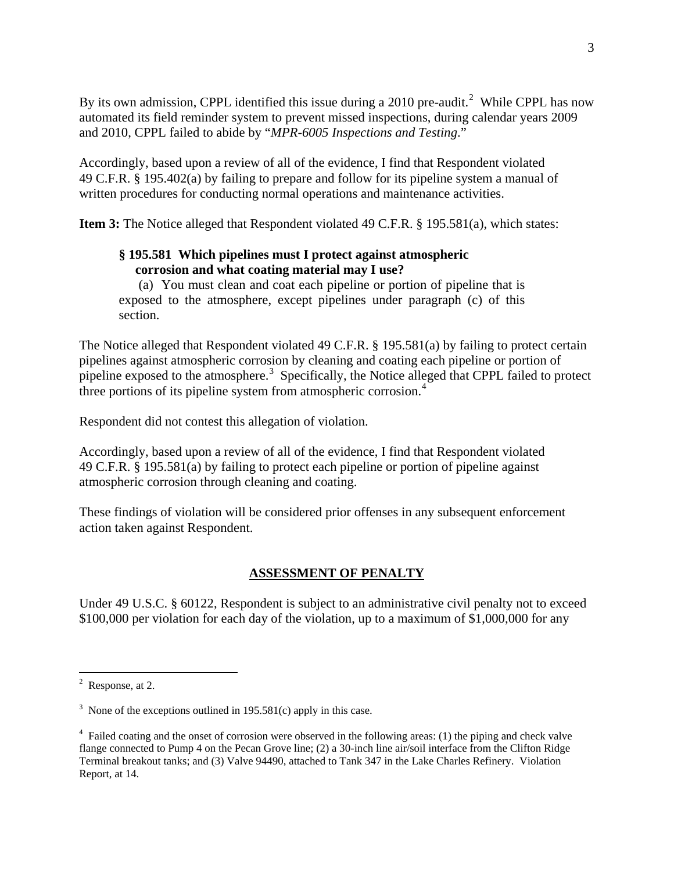By its own admission, CPPL identified this issue during a [2](#page-3-0)010 pre-audit.<sup>2</sup> While CPPL has now automated its field reminder system to prevent missed inspections, during calendar years 2009 and 2010, CPPL failed to abide by "*MPR-6005 Inspections and Testing*."

Accordingly, based upon a review of all of the evidence, I find that Respondent violated 49 C.F.R. § 195.402(a) by failing to prepare and follow for its pipeline system a manual of written procedures for conducting normal operations and maintenance activities.

**Item 3:** The Notice alleged that Respondent violated 49 C.F.R. § 195.581(a), which states:

## **§ 195.581 Which pipelines must I protect against atmospheric corrosion and what coating material may I use?**

(a) You must clean and coat each pipeline or portion of pipeline that is exposed to the atmosphere, except pipelines under paragraph (c) of this section.

The Notice alleged that Respondent violated 49 C.F.R. § 195.581(a) by failing to protect certain pipelines against atmospheric corrosion by cleaning and coating each pipeline or portion of pipeline exposed to the atmosphere. [3](#page-3-1) Specifically, the Notice alleged that CPPL failed to protect three portions of its pipeline system from atmospheric corrosion.<sup>[4](#page-3-2)</sup>

Respondent did not contest this allegation of violation.

Accordingly, based upon a review of all of the evidence, I find that Respondent violated 49 C.F.R. § 195.581(a) by failing to protect each pipeline or portion of pipeline against atmospheric corrosion through cleaning and coating.

These findings of violation will be considered prior offenses in any subsequent enforcement action taken against Respondent.

## **ASSESSMENT OF PENALTY**

Under 49 U.S.C. § 60122, Respondent is subject to an administrative civil penalty not to exceed \$100,000 per violation for each day of the violation, up to a maximum of \$1,000,000 for any

<span id="page-3-0"></span> $\frac{1}{2}$  $2$  Response, at 2.

<span id="page-3-1"></span> $3$  None of the exceptions outlined in 195.581(c) apply in this case.

<span id="page-3-2"></span><sup>&</sup>lt;sup>4</sup> Failed coating and the onset of corrosion were observed in the following areas: (1) the piping and check valve flange connected to Pump 4 on the Pecan Grove line; (2) a 30-inch line air/soil interface from the Clifton Ridge Terminal breakout tanks; and (3) Valve 94490, attached to Tank 347 in the Lake Charles Refinery. Violation Report, at 14.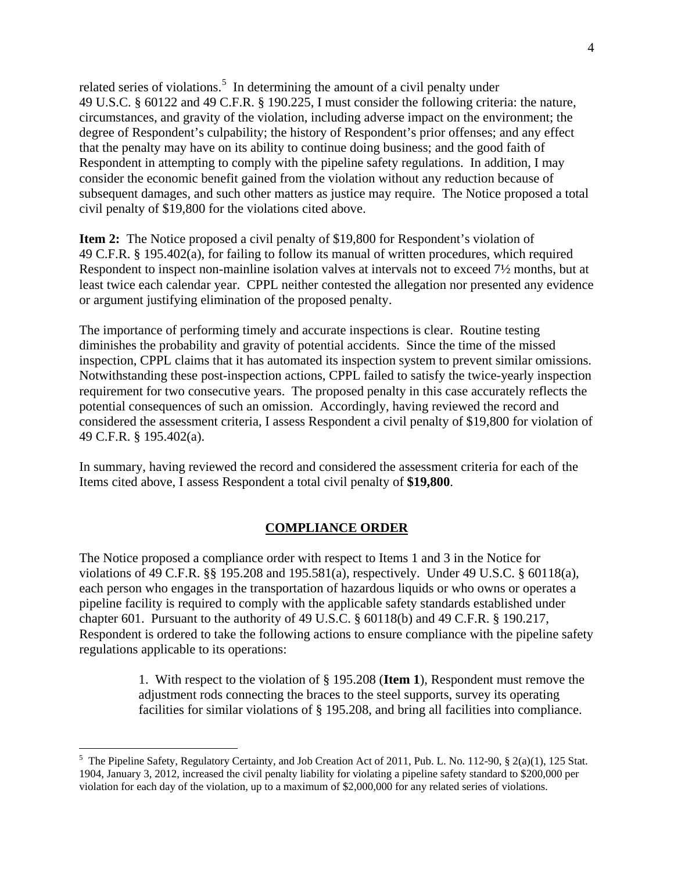related series of violations.<sup>[5](#page-4-0)</sup> In determining the amount of a civil penalty under 49 U.S.C. § 60122 and 49 C.F.R. § 190.225, I must consider the following criteria: the nature, circumstances, and gravity of the violation, including adverse impact on the environment; the degree of Respondent's culpability; the history of Respondent's prior offenses; and any effect that the penalty may have on its ability to continue doing business; and the good faith of Respondent in attempting to comply with the pipeline safety regulations. In addition, I may consider the economic benefit gained from the violation without any reduction because of subsequent damages, and such other matters as justice may require. The Notice proposed a total civil penalty of \$19,800 for the violations cited above.

**Item 2:** The Notice proposed a civil penalty of \$19,800 for Respondent's violation of 49 C.F.R. § 195.402(a), for failing to follow its manual of written procedures, which required Respondent to inspect non-mainline isolation valves at intervals not to exceed 7½ months, but at least twice each calendar year. CPPL neither contested the allegation nor presented any evidence or argument justifying elimination of the proposed penalty.

The importance of performing timely and accurate inspections is clear. Routine testing diminishes the probability and gravity of potential accidents. Since the time of the missed inspection, CPPL claims that it has automated its inspection system to prevent similar omissions. Notwithstanding these post-inspection actions, CPPL failed to satisfy the twice-yearly inspection requirement for two consecutive years. The proposed penalty in this case accurately reflects the potential consequences of such an omission. Accordingly, having reviewed the record and considered the assessment criteria, I assess Respondent a civil penalty of \$19,800 for violation of 49 C.F.R. § 195.402(a).

In summary, having reviewed the record and considered the assessment criteria for each of the Items cited above, I assess Respondent a total civil penalty of **\$19,800**.

## **COMPLIANCE ORDER**

The Notice proposed a compliance order with respect to Items 1 and 3 in the Notice for violations of 49 C.F.R. §§ 195.208 and 195.581(a), respectively. Under 49 U.S.C. § 60118(a), each person who engages in the transportation of hazardous liquids or who owns or operates a pipeline facility is required to comply with the applicable safety standards established under chapter 601. Pursuant to the authority of 49 U.S.C. § 60118(b) and 49 C.F.R. § 190.217, Respondent is ordered to take the following actions to ensure compliance with the pipeline safety regulations applicable to its operations:

> 1. With respect to the violation of § 195.208 (**Item 1**), Respondent must remove the adjustment rods connecting the braces to the steel supports, survey its operating facilities for similar violations of § 195.208, and bring all facilities into compliance.

<span id="page-4-0"></span> <sup>5</sup>  $5$  The Pipeline Safety, Regulatory Certainty, and Job Creation Act of 2011, Pub. L. No. 112-90,  $\S$  2(a)(1), 125 Stat. 1904, January 3, 2012, increased the civil penalty liability for violating a pipeline safety standard to \$200,000 per violation for each day of the violation, up to a maximum of \$2,000,000 for any related series of violations.